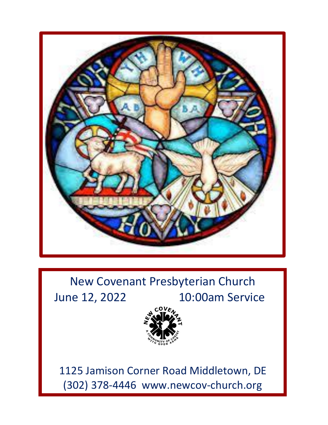

New Covenant Presbyterian Church June 12, 2022 10:00am Service



 1125 Jamison Corner Road Middletown, DE (302) 378-4446 www.newcov-church.org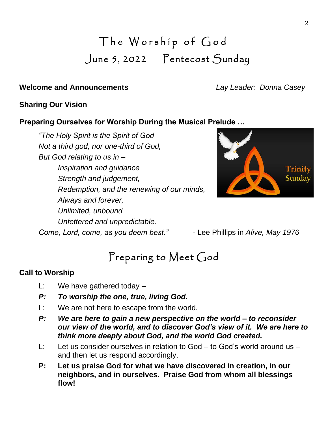# The Worship of God June 5, 2022 Pentecost Sunday

## **Welcome and Announcements** *Lay Leader: Donna Casey*

## **Sharing Our Vision**

## **Preparing Ourselves for Worship During the Musical Prelude …**

*"The Holy Spirit is the Spirit of God Not a third god, nor one-third of God, But God relating to us in – Inspiration and guidance Strength and judgement, Redemption, and the renewing of our minds, Always and forever, Unlimited, unbound Unfettered and unpredictable. Come, Lord, come, as you deem best."* - Lee Phillips in *Alive, May 1976*



## Preparing to Meet God

## **Call to Worship**

- L: We have gathered today –
- *P: To worship the one, true, living God.*
- L: We are not here to escape from the world.
- *P: We are here to gain a new perspective on the world – to reconsider our view of the world, and to discover God's view of it. We are here to think more deeply about God, and the world God created.*
- L: Let us consider ourselves in relation to God to God's world around us and then let us respond accordingly.
- **P: Let us praise God for what we have discovered in creation, in our neighbors, and in ourselves. Praise God from whom all blessings flow!**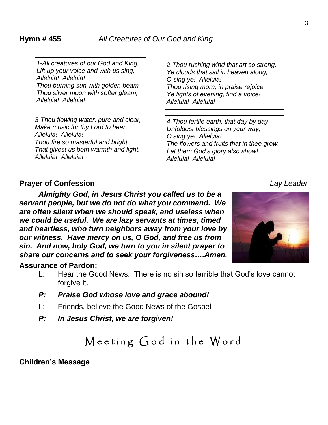*1-All creatures of our God and King, Lift up your voice and with us sing, Alleluia! Alleluia! Thou burning sun with golden beam Thou silver moon with softer gleam, Alleluia! Alleluia!*

*3-Thou flowing water, pure and clear, Make music for thy Lord to hear, Alleluia! Alleluia! Thou fire so masterful and bright, That givest us both warmth and light, Alleluia! Alleluia!*

*2-Thou rushing wind that art so strong, Ye clouds that sail in heaven along, O sing ye! Alleluia! Thou rising morn, in praise rejoice, Ye lights of evening, find a voice! Alleluia! Alleluia!*

*4-Thou fertile earth, that day by day Unfoldest blessings on your way, O sing ye! Alleluia! The flowers and fruits that in thee grow, Let them God's glory also show! Alleluia! Alleluia!*

## **Prayer of Confession** *Lay Leader*

*Almighty God, in Jesus Christ you called us to be a servant people, but we do not do what you command. We are often silent when we should speak, and useless when we could be useful. We are lazy servants at times, timed and heartless, who turn neighbors away from your love by our witness. Have mercy on us, O God, and free us from sin. And now, holy God, we turn to you in silent prayer to share our concerns and to seek your forgiveness….Amen.*

### **Assurance of Pardon:**

- L: Hear the Good News: There is no sin so terrible that God's love cannot forgive it.
- *P: Praise God whose love and grace abound!*
- L: Friends, believe the Good News of the Gospel -
- *P: In Jesus Christ, we are forgiven!*

**Children's Message**

## Meeting God in the Word

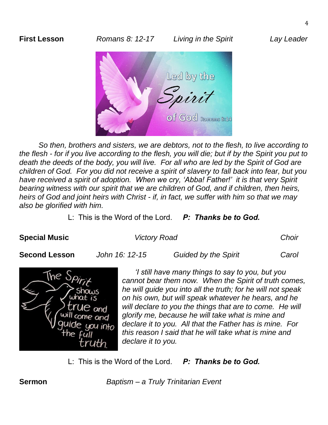

*So then, brothers and sisters, we are debtors, not to the flesh, to live according to the flesh - for if you live according to the flesh, you will die; but if by the Spirit you put to death the deeds of the body, you will live. For all who are led by the Spirit of God are children of God. For you did not receive a spirit of slavery to fall back into fear, but you have received a spirit of adoption. When we cry, 'Abba! Father!' it is that very Spirit bearing witness with our spirit that we are children of God, and if children, then heirs, heirs of God and joint heirs with Christ - if, in fact, we suffer with him so that we may also be glorified with him.*

L: This is the Word of the Lord. *P: Thanks be to God.*

**Special Music** *Victory Road Choir*

**Second Lesson** *John 16: 12-15 Guided by the Spirit Carol*



*'I still have many things to say to you, but you cannot bear them now. When the Spirit of truth comes, he will guide you into all the truth; for he will not speak on his own, but will speak whatever he hears, and he will declare to you the things that are to come. He will glorify me, because he will take what is mine and declare it to you. All that the Father has is mine. For this reason I said that he will take what is mine and declare it to you.*

L: This is the Word of the Lord. *P: Thanks be to God.*

**Sermon** *Baptism – a Truly Trinitarian Event*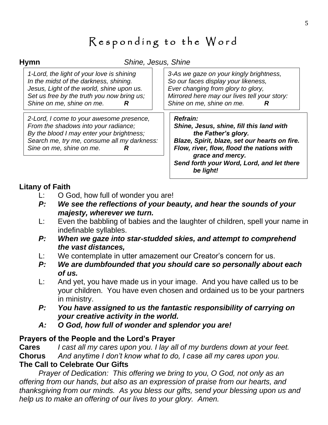## Responding to the Word

| <b>Hymn</b>                                                                                                                                                                                                      | Shine, Jesus, Shine                                                                                                                                                                                                                                     |
|------------------------------------------------------------------------------------------------------------------------------------------------------------------------------------------------------------------|---------------------------------------------------------------------------------------------------------------------------------------------------------------------------------------------------------------------------------------------------------|
| 1-Lord, the light of your love is shining<br>In the midst of the darkness, shining.<br>Jesus, Light of the world, shine upon us.<br>Set us free by the truth you now bring us;<br>Shine on me, shine on me.<br>R | 3-As we gaze on your kingly brightness,<br>So our faces display your likeness,<br>Ever changing from glory to glory,<br>Mirrored here may our lives tell your story:<br>Shine on me, shine on me.<br>R                                                  |
| 2-Lord, I come to your awesome presence,<br>From the shadows into your radiance;<br>By the blood I may enter your brightness;<br>Search me, try me, consume all my darkness:<br>Sine on me, shine on me.<br>R    | Refrain:<br>Shine, Jesus, shine, fill this land with<br>the Father's glory.<br>Blaze, Spirit, blaze, set our hearts on fire.<br>Flow, river, flow, flood the nations with<br>grace and mercy.<br>Send forth your Word, Lord, and let there<br>be light! |

## **Litany of Faith**

- L: O God, how full of wonder you are!
- *P: We see the reflections of your beauty, and hear the sounds of your majesty, wherever we turn.*
- L: Even the babbling of babies and the laughter of children, spell your name in indefinable syllables.
- *P: When we gaze into star-studded skies, and attempt to comprehend the vast distances,*
- L: We contemplate in utter amazement our Creator's concern for us.
- *P: We are dumbfounded that you should care so personally about each of us.*
- L: And yet, you have made us in your image. And you have called us to be your children. You have even chosen and ordained us to be your partners in ministry.
- *P: You have assigned to us the fantastic responsibility of carrying on your creative activity in the world.*
- *A: O God, how full of wonder and splendor you are!*

## **Prayers of the People and the Lord's Prayer**

**Cares** *I cast all my cares upon you. I lay all of my burdens down at your feet.* **Chorus** *And anytime I don't know what to do, I case all my cares upon you.* **The Call to Celebrate Our Gifts**

*Prayer of Dedication: This offering we bring to you, O God, not only as an offering from our hands, but also as an expression of praise from our hearts, and thanksgiving from our minds. As you bless our gifts, send your blessing upon us and help us to make an offering of our lives to your glory. Amen.*